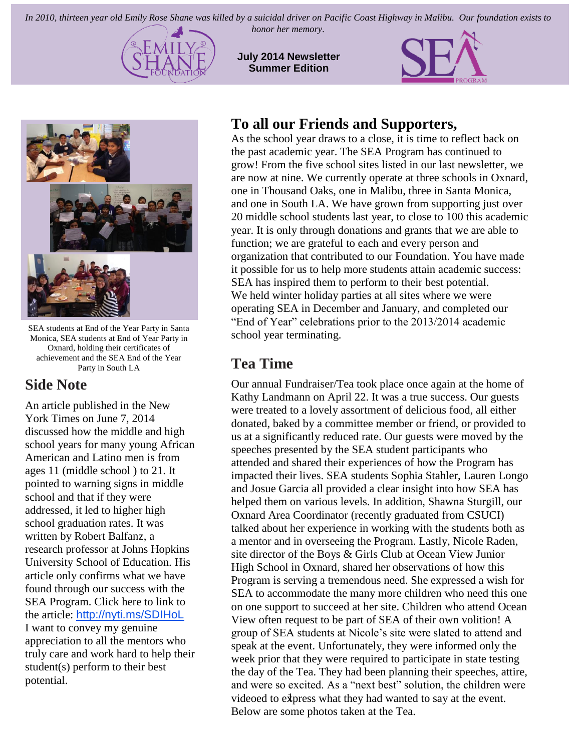*In 2010, thirteen year old Emily Rose Shane was killed by a suicidal driver on Pacific Coast Highway in Malibu. Our foundation exists to* 



*honor her memory.*

**July 2014 Newsletter Summer Edition**





SEA students at End of the Year Party in Santa Monica, SEA students at End of Year Party in Oxnard, holding their certificates of achievement and the SEA End of the Year Party in South LA

### **Side Note**

An article published in the New York Times on June 7, 2014 discussed how the middle and high school years for many young African American and Latino men is from ages 11 (middle school ) to 21. It pointed to warning signs in middle school and that if they were addressed, it led to higher high school graduation rates. It was written by Robert Balfanz, a research professor at Johns Hopkins University School of Education. His article only confirms what we have found through our success with the SEA Program. Click here to link to the article: <http://nyti.ms/SDIHoL> I want to convey my genuine appreciation to all the mentors who truly care and work hard to help their student(s) perform to their best potential.

## **To all our Friends and Supporters,**

As the school year draws to a close, it is time to reflect back on the past academic year. The SEA Program has continued to grow! From the five school sites listed in our last newsletter, we are now at nine. We currently operate at three schools in Oxnard, one in Thousand Oaks, one in Malibu, three in Santa Monica, and one in South LA. We have grown from supporting just over 20 middle school students last year, to close to 100 this academic year. It is only through donations and grants that we are able to function; we are grateful to each and every person and organization that contributed to our Foundation. You have made it possible for us to help more students attain academic success: SEA has inspired them to perform to their best potential. We held winter holiday parties at all sites where we were operating SEA in December and January, and completed our "End of Year" celebrations prior to the 2013/2014 academic school year terminating.

# **Tea Time**

videoed to express what they had wanted to say at the event. Our annual Fundraiser/Tea took place once again at the home of Kathy Landmann on April 22. It was a true success. Our guests were treated to a lovely assortment of delicious food, all either donated, baked by a committee member or friend, or provided to us at a significantly reduced rate. Our guests were moved by the speeches presented by the SEA student participants who attended and shared their experiences of how the Program has impacted their lives. SEA students Sophia Stahler, Lauren Longo and Josue Garcia all provided a clear insight into how SEA has helped them on various levels. In addition, Shawna Sturgill, our Oxnard Area Coordinator (recently graduated from CSUCI) talked about her experience in working with the students both as a mentor and in overseeing the Program. Lastly, Nicole Raden, site director of the Boys & Girls Club at Ocean View Junior High School in Oxnard, shared her observations of how this Program is serving a tremendous need. She expressed a wish for SEA to accommodate the many more children who need this one on one support to succeed at her site. Children who attend Ocean View often request to be part of SEA of their own volition! A group of SEA students at Nicole's site were slated to attend and speak at the event. Unfortunately, they were informed only the week prior that they were required to participate in state testing the day of the Tea. They had been planning their speeches, attire, and were so excited. As a "next best" solution, the children were Below are some photos taken at the Tea.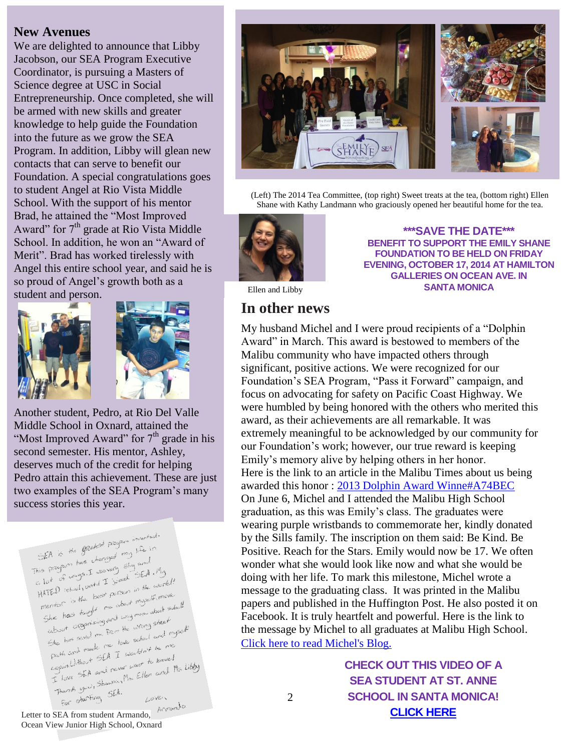#### **New Avenues**

We are delighted to announce that Libby Jacobson, our SEA Program Executive Coordinator, is pursuing a Masters of Science degree at USC in Social Entrepreneurship. Once completed, she will be armed with new skills and greater knowledge to help guide the Foundation into the future as we grow the SEA Program. In addition, Libby will glean new contacts that can serve to benefit our Foundation. A special congratulations goes to student Angel at Rio Vista Middle School. With the support of his mentor Brad, he attained the "Most Improved Award" for  $7<sup>th</sup>$  grade at Rio Vista Middle School. In addition, he won an "Award of Merit". Brad has worked tirelessly with Angel this entire school year, and said he is so proud of Angel's growth both as a student and person.





Another student, Pedro, at Rio Del Valle Middle School in Oxnard, attained the "Most Improved Award" for  $7<sup>th</sup>$  grade in his second semester. His mentor, Ashley, deserves much of the credit for helping Pedro attain this achievement. These are just two examples of the SEA Program's many success stories this year.

SEA is the greatest program invented. SEA is the greatest program invariant  $55A$  is the of the speed may have<br>This program has changed shy and<br>c. lot of unys. I was very since  $55A$ . This proyer has created shy and light<br>c. lot of ways. I wavely SEA. I'll good of the work<br>HATED is the boot person in the work ATED ishoot, until person in the word<br>mentor is the boat person investment entor is the boom about myself, more<br>She has toght me about more about school!<br>Ubout Organizing and way more sheet She has taken<br>ubset creanining and way more street<br>She has saved me from the wrong street ubout organizing. He wrong street<br>She has saved me from the school and myself<br>Path and made me love school and myself She has saved the hove school and the<br>path and made me love school as me<br>cagain.Without SEA I wouldn't be have! path and mean<br>cigain/without SEA I wouldn't be kave!<br>I love SEA and never want to kave! Sern Without St.A I was to kave!<br>Seain Without St.A and never want to kave!<br>I love SEA and never Ms, Ellen and Ms. Libby<br>Thank you, Shawna, NSEA. Thank you, show Loven



(Left) The 2014 Tea Committee, (top right) Sweet treats at the tea, (bottom right) Ellen Shane with Kathy Landmann who graciously opened her beautiful home for the tea.



**\*\*\*SAVE THE DATE\*\*\* BENEFIT TO SUPPORT THE EMILY SHANE FOUNDATION TO BE HELD ON FRIDAY EVENING, OCTOBER 17, 2014 AT HAMILTON GALLERIES ON OCEAN AVE. IN SANTA MONICA**

Ellen and Libby

#### **In other news**

My husband Michel and I were proud recipients of a "Dolphin Award" in March. This award is bestowed to members of the Malibu community who have impacted others through significant, positive actions. We were recognized for our Foundation's SEA Program, "Pass it Forward" campaign, and focus on advocating for safety on Pacific Coast Highway. We were humbled by being honored with the others who merited this award, as their achievements are all remarkable. It was extremely meaningful to be acknowledged by our community for our Foundation's work; however, our true reward is keeping Emily's memory alive by helping others in her honor. Here is the link to an article in the Malibu Times about us being awarded this honor : [2013 Dolphin Award Winne#A74BEC](http://www.malibutimes.com/malibu_life/article_061afd6c-9f2d-11e3-854b-0019bb2963f4.html) On June 6, Michel and I attended the Malibu High School graduation, as this was Emily's class. The graduates were wearing purple wristbands to commemorate her, kindly donated by the Sills family. The inscription on them said: Be Kind. Be Positive. Reach for the Stars. Emily would now be 17. We often wonder what she would look like now and what she would be doing with her life. To mark this milestone, Michel wrote a message to the graduating class. It was printed in the Malibu papers and published in the Huffington Post. He also posted it on Facebook. It is truly heartfelt and powerful. Here is the link to the message by Michel to all graduates at Malibu High School. [Click here to read Michel's Blog.](http://floatingdownariversoftears.blogspot.com/2014/05/an-open-letter-to-graduating-class-of.html)

### **CHECK OUT THIS VIDEO OF A SEA STUDENT AT ST. ANNE SCHOOL IN SANTA MONICA! [CLICK HERE](https://www.youtube.com/watch?v=TURN3SXba4k)**

Letter to SEA from student Armando,  $\frac{\text{Accuracy}}{\text{Mean}}$ Ocean View Junior High School, Oxnard